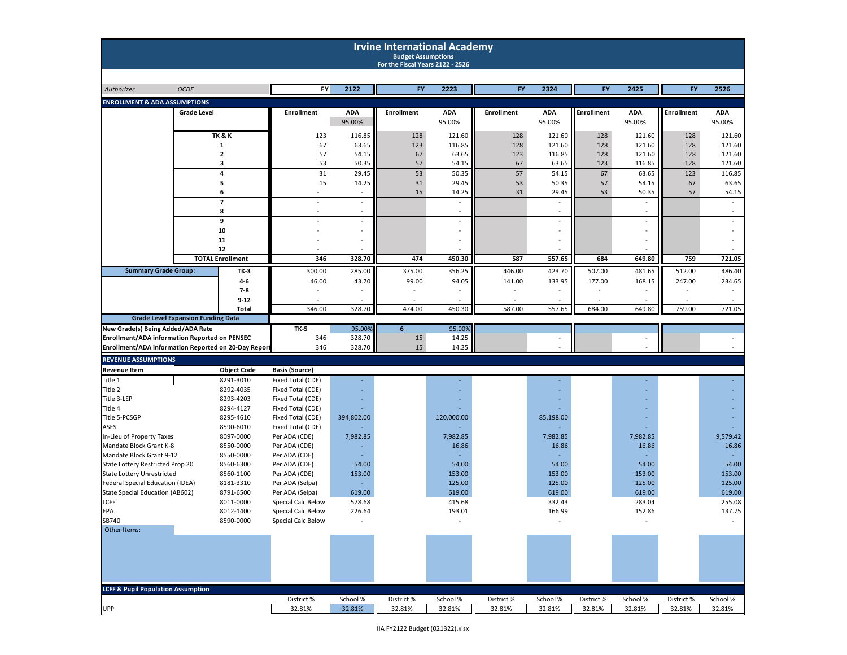|                                                      |                    |                         |                                        |                      | <b>Irvine International Academy</b><br><b>Budget Assumptions</b><br>For the Fiscal Years 2122 - 2526 |                      |                   |                      |                   |                          |                   |                      |
|------------------------------------------------------|--------------------|-------------------------|----------------------------------------|----------------------|------------------------------------------------------------------------------------------------------|----------------------|-------------------|----------------------|-------------------|--------------------------|-------------------|----------------------|
| Authorizer                                           | <b>OCDE</b>        |                         | FY                                     | 2122                 | FY                                                                                                   | 2223                 | <b>FY</b>         | 2324                 | <b>FY</b>         | 2425                     | <b>FY</b>         | 2526                 |
|                                                      |                    |                         |                                        |                      |                                                                                                      |                      |                   |                      |                   |                          |                   |                      |
| <b>ENROLLMENT &amp; ADA ASSUMPTIONS</b>              |                    |                         |                                        |                      |                                                                                                      |                      |                   |                      |                   |                          |                   |                      |
|                                                      | <b>Grade Level</b> |                         | <b>Enrollment</b>                      | <b>ADA</b><br>95.00% | <b>Enrollment</b>                                                                                    | <b>ADA</b><br>95.00% | <b>Enrollment</b> | <b>ADA</b><br>95.00% | <b>Enrollment</b> | <b>ADA</b><br>95.00%     | <b>Enrollment</b> | <b>ADA</b><br>95.00% |
|                                                      |                    | <b>TK &amp; K</b>       | 123                                    | 116.85               | 128                                                                                                  | 121.60               | 128               | 121.60               | 128               | 121.60                   | 128               | 121.60               |
|                                                      |                    | 1                       | 67                                     | 63.65                | 123                                                                                                  | 116.85               | 128               | 121.60               | 128               | 121.60                   | 128               | 121.60               |
|                                                      |                    | $\mathbf{2}$<br>3       | 57<br>53                               | 54.15<br>50.35       | 67<br>57                                                                                             | 63.65<br>54.15       | 123<br>67         | 116.85<br>63.65      | 128<br>123        | 121.60<br>116.85         | 128<br>128        | 121.60<br>121.60     |
|                                                      |                    | 4                       | 31                                     | 29.45                | 53                                                                                                   | 50.35                | 57                | 54.15                | 67                | 63.65                    | 123               | 116.85               |
|                                                      |                    | 5                       | 15                                     | 14.25                | 31                                                                                                   | 29.45                | 53                | 50.35                | 57                | 54.15                    | 67                | 63.65                |
|                                                      |                    | 6                       |                                        |                      | 15                                                                                                   | 14.25                | 31                | 29.45                | 53                | 50.35                    | 57                | 54.15                |
|                                                      |                    | 7                       |                                        | $\blacksquare$       |                                                                                                      | $\blacksquare$       |                   |                      |                   | $\overline{\phantom{a}}$ |                   |                      |
|                                                      |                    | 8                       |                                        | $\sim$               |                                                                                                      | $\sim$               |                   | $\sim$               |                   | $\ddot{\phantom{1}}$     |                   |                      |
|                                                      |                    | 9                       |                                        |                      |                                                                                                      |                      |                   |                      |                   |                          |                   |                      |
|                                                      |                    | 10                      |                                        | $\sim$               |                                                                                                      |                      |                   |                      |                   |                          |                   |                      |
|                                                      |                    | 11<br>12                |                                        |                      |                                                                                                      |                      |                   |                      |                   |                          |                   |                      |
|                                                      |                    | <b>TOTAL Enrollment</b> | 346                                    | 328.70               | 474                                                                                                  | 450.30               | 587               | 557.65               | 684               | 649.80                   | 759               | 721.05               |
|                                                      |                    |                         |                                        |                      |                                                                                                      |                      |                   |                      |                   |                          |                   |                      |
| <b>Summary Grade Group:</b>                          |                    | TK-3                    | 300.00                                 | 285.00               | 375.00                                                                                               | 356.25               | 446.00            | 423.70               | 507.00            | 481.65                   | 512.00            | 486.40               |
|                                                      |                    | 4-6<br>7-8              | 46.00                                  | 43.70                | 99.00                                                                                                | 94.05                | 141.00            | 133.95               | 177.00            | 168.15                   | 247.00            | 234.65               |
|                                                      |                    | $9 - 12$                |                                        |                      |                                                                                                      |                      |                   |                      |                   |                          |                   |                      |
|                                                      |                    | <b>Total</b>            | 346.00                                 | 328.70               | 474.00                                                                                               | 450.30               | 587.00            | 557.65               | 684.00            | 649.80                   | 759.00            | 721.05               |
| <b>Grade Level Expansion Funding Data</b>            |                    |                         |                                        |                      |                                                                                                      |                      |                   |                      |                   |                          |                   |                      |
| New Grade(s) Being Added/ADA Rate                    |                    |                         | <b>TK-5</b>                            | 95.00%               | $6\phantom{1}$                                                                                       | 95.00%               |                   |                      |                   |                          |                   |                      |
| Enrollment/ADA information Reported on PENSEC        |                    |                         | 346                                    | 328.70               | 15                                                                                                   | 14.25                |                   |                      |                   |                          |                   |                      |
| Enrollment/ADA information Reported on 20-Day Report |                    |                         | 346                                    | 328.70               | 15                                                                                                   | 14.25                |                   |                      |                   |                          |                   |                      |
| <b>REVENUE ASSUMPTIONS</b>                           |                    |                         |                                        |                      |                                                                                                      |                      |                   |                      |                   |                          |                   |                      |
| Revenue Item                                         |                    | <b>Object Code</b>      | <b>Basis (Source)</b>                  |                      |                                                                                                      |                      |                   |                      |                   |                          |                   |                      |
| Title 1                                              |                    | 8291-3010               | Fixed Total (CDE)                      |                      |                                                                                                      |                      |                   |                      |                   |                          |                   |                      |
| Title 2                                              |                    | 8292-4035               | Fixed Total (CDE)                      |                      |                                                                                                      |                      |                   |                      |                   |                          |                   |                      |
| Title 3-LEP                                          |                    | 8293-4203               | Fixed Total (CDE)                      |                      |                                                                                                      |                      |                   |                      |                   |                          |                   |                      |
| Title 4                                              |                    | 8294-4127               | Fixed Total (CDE)                      |                      |                                                                                                      |                      |                   |                      |                   |                          |                   |                      |
| Title 5-PCSGP<br>ASES                                |                    | 8295-4610<br>8590-6010  | Fixed Total (CDE)<br>Fixed Total (CDE) | 394,802.00           |                                                                                                      | 120,000.00           |                   | 85,198.00            |                   |                          |                   |                      |
| In-Lieu of Property Taxes                            |                    | 8097-0000               | Per ADA (CDE)                          | 7,982.85             |                                                                                                      | 7,982.85             |                   | 7,982.85             |                   | 7,982.85                 |                   | 9,579.42             |
| Mandate Block Grant K-8                              |                    | 8550-0000               | Per ADA (CDE)                          |                      |                                                                                                      | 16.86                |                   | 16.86                |                   | 16.86                    |                   | 16.86                |
| Mandate Block Grant 9-12                             |                    | 8550-0000               | Per ADA (CDE)                          |                      |                                                                                                      |                      |                   |                      |                   |                          |                   |                      |
| State Lottery Restricted Prop 20                     |                    | 8560-6300               | Per ADA (CDE)                          | 54.00                |                                                                                                      | 54.00                |                   | 54.00                |                   | 54.00                    |                   | 54.00                |
| <b>State Lottery Unrestricted</b>                    |                    | 8560-1100               | Per ADA (CDE)                          | 153.00               |                                                                                                      | 153.00               |                   | 153.00               |                   | 153.00                   |                   | 153.00               |
| Federal Special Education (IDEA)                     |                    | 8181-3310               | Per ADA (Selpa)                        |                      |                                                                                                      | 125.00               |                   | 125.00               |                   | 125.00                   |                   | 125.00               |
| State Special Education (AB602)                      |                    | 8791-6500               | Per ADA (Selpa)                        | 619.00               |                                                                                                      | 619.00               |                   | 619.00               |                   | 619.00                   |                   | 619.00               |
| LCFF                                                 |                    | 8011-0000               | Special Calc Below                     | 578.68               |                                                                                                      | 415.68               |                   | 332.43               |                   | 283.04                   |                   | 255.08               |
| EPA                                                  |                    | 8012-1400               | Special Calc Below                     | 226.64               |                                                                                                      | 193.01               |                   | 166.99               |                   | 152.86                   |                   | 137.75               |
| SB740<br>Other Items:                                |                    | 8590-0000               | Special Calc Below                     |                      |                                                                                                      |                      |                   |                      |                   |                          |                   |                      |
| <b>LCFF &amp; Pupil Population Assumption</b>        |                    |                         |                                        |                      |                                                                                                      |                      |                   |                      |                   |                          |                   |                      |
|                                                      |                    |                         | District %                             | School %             | District%                                                                                            | School %             | District%         | School %             | District %        | School %                 | District%         | School %             |
| UPP                                                  |                    |                         | 32.81%                                 | 32.81%               | 32.81%                                                                                               | 32.81%               | 32.81%            | 32.81%               | 32.81%            | 32.81%                   | 32.81%            | 32.81%               |
|                                                      |                    |                         |                                        |                      |                                                                                                      |                      |                   |                      |                   |                          |                   |                      |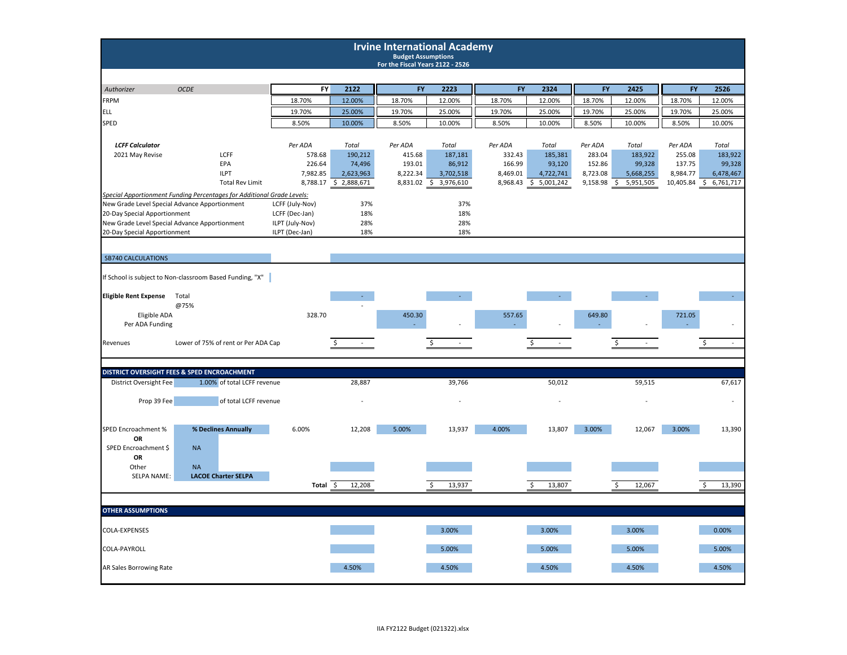|                                                   |                                                                        |                  |                       | <b>Irvine International Academy</b><br><b>Budget Assumptions</b><br>For the Fiscal Years 2122 - 2526 |                       |                  |                     |                  |                                 |                  |                     |
|---------------------------------------------------|------------------------------------------------------------------------|------------------|-----------------------|------------------------------------------------------------------------------------------------------|-----------------------|------------------|---------------------|------------------|---------------------------------|------------------|---------------------|
|                                                   | <b>OCDE</b>                                                            | <b>FY</b>        | 2122                  | FY                                                                                                   | 2223                  | <b>FY</b>        | 2324                | FY               | 2425                            | <b>FY</b>        | 2526                |
| Authorizer<br><b>FRPM</b>                         |                                                                        | 18.70%           | 12.00%                | 18.70%                                                                                               | 12.00%                | 18.70%           | 12.00%              | 18.70%           | 12.00%                          | 18.70%           | 12.00%              |
| <b>ELL</b>                                        |                                                                        |                  |                       |                                                                                                      |                       |                  |                     |                  |                                 |                  |                     |
|                                                   |                                                                        | 19.70%           | 25.00%                | 19.70%                                                                                               | 25.00%                | 19.70%           | 25.00%              | 19.70%           | 25.00%                          | 19.70%           | 25.00%              |
| <b>SPED</b>                                       |                                                                        | 8.50%            | 10.00%                | 8.50%                                                                                                | 10.00%                | 8.50%            | 10.00%              | 8.50%            | 10.00%                          | 8.50%            | 10.00%              |
|                                                   |                                                                        |                  |                       |                                                                                                      |                       |                  |                     |                  |                                 |                  |                     |
| <b>LCFF Calculator</b>                            |                                                                        | Per ADA          | Total                 | Per ADA                                                                                              | Total                 | Per ADA          | Total               | Per ADA          | Total                           | Per ADA          | Total               |
| 2021 May Revise                                   | LCFF                                                                   | 578.68<br>226.64 | 190,212               | 415.68<br>193.01                                                                                     | 187,181               | 332.43<br>166.99 | 185,381             | 283.04<br>152.86 | 183,922                         | 255.08<br>137.75 | 183,922             |
|                                                   | EPA<br><b>ILPT</b>                                                     | 7,982.85         | 74,496<br>2,623,963   | 8,222.34                                                                                             | 86,912<br>3,702,518   | 8,469.01         | 93,120<br>4,722,741 | 8,723.08         | 99,328<br>5,668,255             | 8,984.77         | 99,328<br>6,478,467 |
|                                                   | <b>Total Rev Limit</b>                                                 |                  | 8,788.17 \$ 2,888,671 |                                                                                                      | 8,831.02 \$ 3,976,610 | 8,968.43         | \$5,001,242         | 9,158.98         | $\ddot{\varsigma}$<br>5,951,505 | 10,405.84        | \$<br>6,761,717     |
|                                                   | Special Apportionment Funding Percentages for Additional Grade Levels: |                  |                       |                                                                                                      |                       |                  |                     |                  |                                 |                  |                     |
|                                                   | New Grade Level Special Advance Apportionment                          | LCFF (July-Nov)  | 37%                   |                                                                                                      | 37%                   |                  |                     |                  |                                 |                  |                     |
| 20-Day Special Apportionment                      |                                                                        | LCFF (Dec-Jan)   | 18%                   |                                                                                                      | 18%                   |                  |                     |                  |                                 |                  |                     |
|                                                   | New Grade Level Special Advance Apportionment                          | ILPT (July-Nov)  | 28%                   |                                                                                                      | 28%                   |                  |                     |                  |                                 |                  |                     |
| 20-Day Special Apportionment                      |                                                                        | ILPT (Dec-Jan)   | 18%                   |                                                                                                      | 18%                   |                  |                     |                  |                                 |                  |                     |
| <b>SB740 CALCULATIONS</b>                         |                                                                        |                  |                       |                                                                                                      |                       |                  |                     |                  |                                 |                  |                     |
|                                                   | If School is subject to Non-classroom Based Funding, "X"               |                  |                       |                                                                                                      |                       |                  |                     |                  |                                 |                  |                     |
| <b>Eligible Rent Expense</b>                      | Total<br>@75%                                                          |                  |                       |                                                                                                      |                       |                  |                     |                  |                                 |                  |                     |
| Eligible ADA<br>Per ADA Funding                   |                                                                        | 328.70           |                       | 450.30                                                                                               |                       | 557.65           |                     | 649.80           |                                 | 721.05           |                     |
| Revenues                                          | Lower of 75% of rent or Per ADA Cap                                    |                  | \$                    |                                                                                                      | Ś                     |                  | Ś                   |                  | Ś                               |                  | Ś<br>$\omega$       |
|                                                   | DISTRICT OVERSIGHT FEES & SPED ENCROACHMENT                            |                  |                       |                                                                                                      |                       |                  |                     |                  |                                 |                  |                     |
| District Oversight Fee                            | 1.00% of total LCFF revenue                                            |                  | 28,887                |                                                                                                      | 39,766                |                  | 50,012              |                  | 59,515                          |                  | 67,617              |
| Prop 39 Fee                                       | of total LCFF revenue                                                  |                  |                       |                                                                                                      |                       |                  |                     |                  |                                 |                  |                     |
| SPED Encroachment %<br>OR<br>SPED Encroachment \$ | % Declines Annually<br><b>NA</b>                                       | 6.00%            | 12,208                | 5.00%                                                                                                | 13,937                | 4.00%            | 13,807              | 3.00%            | 12,067                          | 3.00%            | 13,390              |
| OR<br>Other                                       | <b>NA</b>                                                              |                  |                       |                                                                                                      |                       |                  |                     |                  |                                 |                  |                     |
| SELPA NAME:                                       | <b>LACOE Charter SELPA</b>                                             |                  |                       |                                                                                                      |                       |                  |                     |                  |                                 |                  |                     |
|                                                   |                                                                        | Total \$         | 12,208                |                                                                                                      | 13,937                |                  | 13,807<br>Š.        |                  | 12,067<br>ς                     |                  | 13,390              |
|                                                   |                                                                        |                  |                       |                                                                                                      |                       |                  |                     |                  |                                 |                  |                     |
| <b>OTHER ASSUMPTIONS</b>                          |                                                                        |                  |                       |                                                                                                      |                       |                  |                     |                  |                                 |                  |                     |
| COLA-EXPENSES                                     |                                                                        |                  |                       |                                                                                                      | 3.00%                 |                  | 3.00%               |                  | 3.00%                           |                  | 0.00%               |
| COLA-PAYROLL                                      |                                                                        |                  |                       |                                                                                                      | 5.00%                 |                  | 5.00%               |                  | 5.00%                           |                  | 5.00%               |
| AR Sales Borrowing Rate                           |                                                                        |                  | 4.50%                 |                                                                                                      | 4.50%                 |                  | 4.50%               |                  | 4.50%                           |                  | 4.50%               |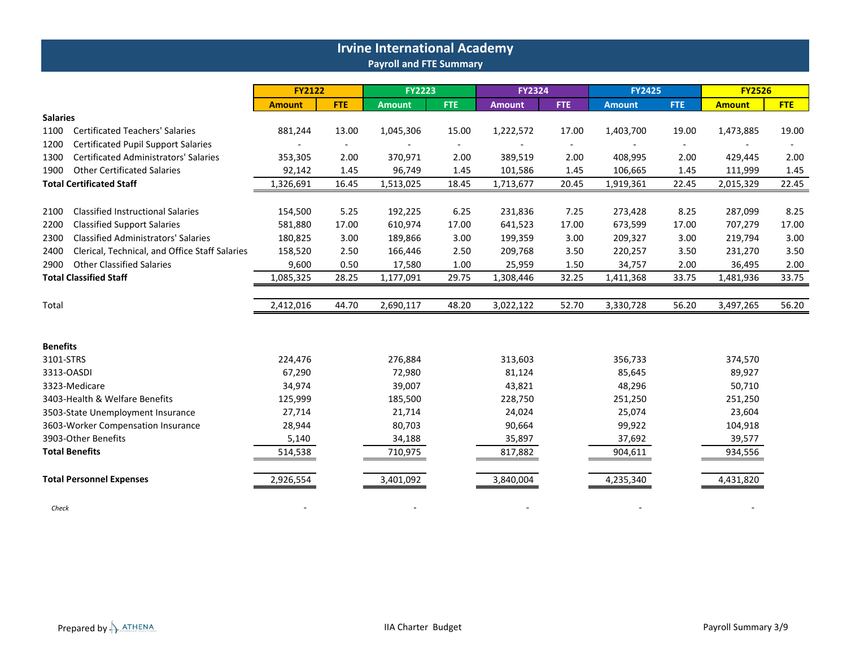|                                                        |               |            | <b>Irvine International Academy</b> |            |               |        |               |                          |               |            |
|--------------------------------------------------------|---------------|------------|-------------------------------------|------------|---------------|--------|---------------|--------------------------|---------------|------------|
|                                                        |               |            | <b>Payroll and FTE Summary</b>      |            |               |        |               |                          |               |            |
|                                                        | <b>FY2122</b> |            | <b>FY2223</b>                       |            | <b>FY2324</b> |        | <b>FY2425</b> |                          | <b>FY2526</b> |            |
|                                                        | <b>Amount</b> | <b>FTE</b> | Amount                              | <b>FTE</b> | <b>Amount</b> | FTE.   | <b>Amount</b> | <b>FTE</b>               | <b>Amount</b> | <b>FTE</b> |
| <b>Salaries</b>                                        |               |            |                                     |            |               |        |               |                          |               |            |
| 1100<br><b>Certificated Teachers' Salaries</b>         | 881,244       | 13.00      | 1,045,306                           | 15.00      | 1,222,572     | 17.00  | 1,403,700     | 19.00                    | 1,473,885     | 19.00      |
| <b>Certificated Pupil Support Salaries</b><br>1200     |               | $\sim$     |                                     | $\sim$     |               | $\sim$ |               | $\overline{\phantom{a}}$ |               |            |
| <b>Certificated Administrators' Salaries</b><br>1300   | 353,305       | 2.00       | 370,971                             | 2.00       | 389,519       | 2.00   | 408,995       | 2.00                     | 429,445       | 2.00       |
| <b>Other Certificated Salaries</b><br>1900             | 92,142        | 1.45       | 96,749                              | 1.45       | 101,586       | 1.45   | 106,665       | 1.45                     | 111,999       | 1.45       |
| <b>Total Certificated Staff</b>                        | 1,326,691     | 16.45      | 1,513,025                           | 18.45      | 1,713,677     | 20.45  | 1,919,361     | 22.45                    | 2,015,329     | 22.45      |
| <b>Classified Instructional Salaries</b><br>2100       | 154,500       | 5.25       | 192,225                             | 6.25       | 231,836       | 7.25   | 273,428       | 8.25                     | 287,099       | 8.25       |
| <b>Classified Support Salaries</b><br>2200             | 581,880       | 17.00      | 610,974                             | 17.00      | 641,523       | 17.00  | 673,599       | 17.00                    | 707,279       | 17.00      |
| <b>Classified Administrators' Salaries</b><br>2300     | 180,825       | 3.00       | 189,866                             | 3.00       | 199,359       | 3.00   | 209,327       | 3.00                     | 219,794       | 3.00       |
| Clerical, Technical, and Office Staff Salaries<br>2400 | 158,520       | 2.50       | 166,446                             | 2.50       | 209,768       | 3.50   | 220,257       | 3.50                     | 231,270       | 3.50       |
| <b>Other Classified Salaries</b><br>2900               | 9,600         | 0.50       | 17,580                              | 1.00       | 25,959        | 1.50   | 34,757        | 2.00                     | 36,495        | 2.00       |
| <b>Total Classified Staff</b>                          | 1,085,325     | 28.25      | 1,177,091                           | 29.75      | 1,308,446     | 32.25  | 1,411,368     | 33.75                    | 1,481,936     | 33.75      |
| Total                                                  | 2,412,016     | 44.70      | 2,690,117                           | 48.20      | 3,022,122     | 52.70  | 3,330,728     | 56.20                    | 3,497,265     | 56.20      |
| <b>Benefits</b>                                        |               |            |                                     |            |               |        |               |                          |               |            |
| 3101-STRS                                              | 224,476       |            | 276,884                             |            | 313,603       |        | 356,733       |                          | 374,570       |            |
| 3313-OASDI                                             | 67,290        |            | 72,980                              |            | 81,124        |        | 85,645        |                          | 89,927        |            |
| 3323-Medicare                                          | 34,974        |            | 39,007                              |            | 43,821        |        | 48,296        |                          | 50,710        |            |
| 3403-Health & Welfare Benefits                         | 125,999       |            | 185,500                             |            | 228,750       |        | 251,250       |                          | 251,250       |            |
| 3503-State Unemployment Insurance                      | 27,714        |            | 21,714                              |            | 24,024        |        | 25,074        |                          | 23,604        |            |
| 3603-Worker Compensation Insurance                     | 28,944        |            | 80,703                              |            | 90,664        |        | 99,922        |                          | 104,918       |            |
| 3903-Other Benefits                                    | 5,140         |            | 34,188                              |            | 35,897        |        | 37,692        |                          | 39,577        |            |
| <b>Total Benefits</b>                                  | 514,538       |            | 710,975                             |            | 817,882       |        | 904,611       |                          | 934,556       |            |
| <b>Total Personnel Expenses</b>                        | 2,926,554     |            | 3,401,092                           |            | 3,840,004     |        | 4,235,340     |                          | 4,431,820     |            |

*Check* - - - - -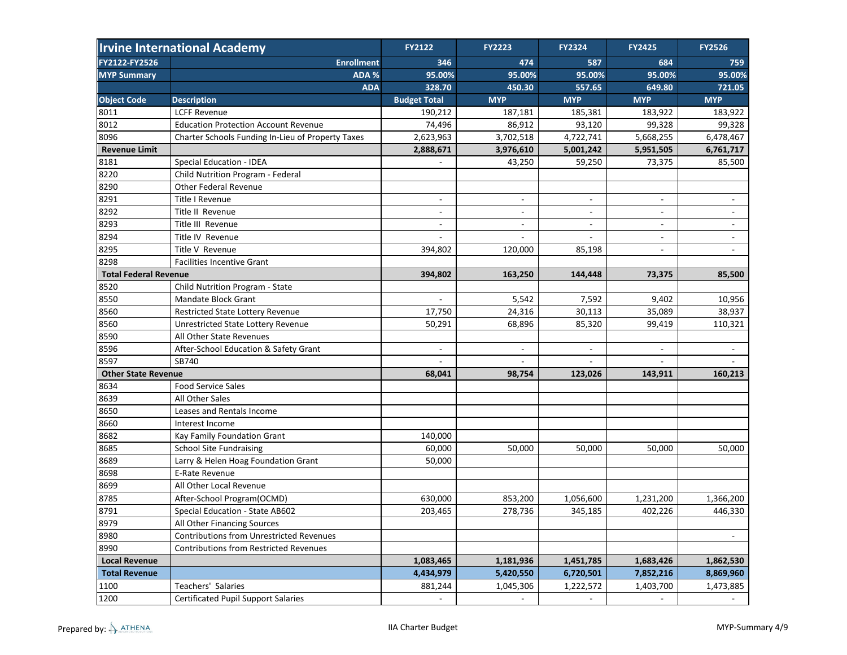|                              | <b>Irvine International Academy</b>               | <b>FY2122</b>            | <b>FY2223</b>            | FY2324                   | <b>FY2425</b>            | <b>FY2526</b>            |
|------------------------------|---------------------------------------------------|--------------------------|--------------------------|--------------------------|--------------------------|--------------------------|
| FY2122-FY2526                | <b>Enrollment</b>                                 | 346                      | 474                      | 587                      | 684                      | 759                      |
| <b>MYP Summary</b>           | ADA %                                             | 95.00%                   | 95.00%                   | 95.00%                   | 95.00%                   | 95.00%                   |
|                              | <b>ADA</b>                                        | 328.70                   | 450.30                   | 557.65                   | 649.80                   | 721.05                   |
| <b>Object Code</b>           | <b>Description</b>                                | <b>Budget Total</b>      | <b>MYP</b>               | <b>MYP</b>               | <b>MYP</b>               | <b>MYP</b>               |
| 8011                         | <b>LCFF Revenue</b>                               | 190,212                  | 187,181                  | 185,381                  | 183,922                  | 183,922                  |
| 8012                         | <b>Education Protection Account Revenue</b>       | 74,496                   | 86,912                   | 93,120                   | 99,328                   | 99,328                   |
| 8096                         | Charter Schools Funding In-Lieu of Property Taxes | 2,623,963                | 3,702,518                | 4,722,741                | 5,668,255                | 6,478,467                |
| <b>Revenue Limit</b>         |                                                   | 2,888,671                | 3,976,610                | 5,001,242                | 5,951,505                | 6,761,717                |
| 8181                         | Special Education - IDEA                          |                          | 43,250                   | 59,250                   | 73,375                   | 85,500                   |
| 8220                         | Child Nutrition Program - Federal                 |                          |                          |                          |                          |                          |
| 8290                         | <b>Other Federal Revenue</b>                      |                          |                          |                          |                          |                          |
| 8291                         | Title I Revenue                                   | $\overline{\phantom{a}}$ | $\overline{\phantom{a}}$ | $\overline{\phantom{a}}$ | $\overline{\phantom{a}}$ |                          |
| 8292                         | Title II Revenue                                  | $\overline{\phantom{a}}$ | $\overline{\phantom{a}}$ | $\overline{\phantom{a}}$ | $\overline{\phantom{a}}$ | $\overline{\phantom{a}}$ |
| 8293                         | Title III Revenue                                 | $\overline{\phantom{a}}$ |                          | $\overline{\phantom{a}}$ | $\blacksquare$           | $\blacksquare$           |
| 8294                         | Title IV Revenue                                  |                          |                          |                          | $\sim$                   | $\overline{\phantom{a}}$ |
| 8295                         | Title V Revenue                                   | 394,802                  | 120,000                  | 85,198                   |                          |                          |
| 8298                         | <b>Facilities Incentive Grant</b>                 |                          |                          |                          |                          |                          |
| <b>Total Federal Revenue</b> |                                                   | 394,802                  | 163,250                  | 144,448                  | 73,375                   | 85,500                   |
| 8520                         | Child Nutrition Program - State                   |                          |                          |                          |                          |                          |
| 8550                         | Mandate Block Grant                               |                          | 5,542                    | 7,592                    | 9,402                    | 10,956                   |
| 8560                         | Restricted State Lottery Revenue                  | 17,750                   | 24,316                   | 30,113                   | 35,089                   | 38,937                   |
| 8560                         | <b>Unrestricted State Lottery Revenue</b>         | 50,291                   | 68,896                   | 85,320                   | 99,419                   | 110,321                  |
| 8590                         | All Other State Revenues                          |                          |                          |                          |                          |                          |
| 8596                         | After-School Education & Safety Grant             | $\overline{\phantom{a}}$ | $\overline{\phantom{a}}$ | $\overline{\phantom{a}}$ | $\overline{\phantom{a}}$ | $\overline{\phantom{a}}$ |
| 8597                         | SB740                                             | $\overline{\phantom{a}}$ | $\overline{\phantom{m}}$ |                          |                          |                          |
| <b>Other State Revenue</b>   |                                                   | 68,041                   | 98,754                   | 123,026                  | 143,911                  | 160,213                  |
| 8634                         | <b>Food Service Sales</b>                         |                          |                          |                          |                          |                          |
| 8639                         | All Other Sales                                   |                          |                          |                          |                          |                          |
| 8650                         | Leases and Rentals Income                         |                          |                          |                          |                          |                          |
| 8660                         | Interest Income                                   |                          |                          |                          |                          |                          |
| 8682                         | Kay Family Foundation Grant                       | 140,000                  |                          |                          |                          |                          |
| 8685                         | <b>School Site Fundraising</b>                    | 60,000                   | 50,000                   | 50,000                   | 50,000                   | 50,000                   |
| 8689                         | Larry & Helen Hoag Foundation Grant               | 50,000                   |                          |                          |                          |                          |
| 8698                         | E-Rate Revenue                                    |                          |                          |                          |                          |                          |
| 8699                         | All Other Local Revenue                           |                          |                          |                          |                          |                          |
| 8785                         | After-School Program(OCMD)                        | 630,000                  | 853,200                  | 1,056,600                | 1,231,200                | 1,366,200                |
| 8791                         | Special Education - State AB602                   | 203,465                  | 278,736                  | 345,185                  | 402,226                  | 446,330                  |
| 8979                         | All Other Financing Sources                       |                          |                          |                          |                          |                          |
| 8980                         | <b>Contributions from Unrestricted Revenues</b>   |                          |                          |                          |                          | $\blacksquare$           |
| 8990                         | <b>Contributions from Restricted Revenues</b>     |                          |                          |                          |                          |                          |
| <b>Local Revenue</b>         |                                                   | 1,083,465                | 1,181,936                | 1,451,785                | 1,683,426                | 1,862,530                |
| <b>Total Revenue</b>         |                                                   | 4,434,979                | 5,420,550                | 6,720,501                | 7,852,216                | 8,869,960                |
| 1100                         | Teachers' Salaries                                | 881,244                  | 1,045,306                | 1,222,572                | 1,403,700                | 1,473,885                |
| 1200                         | <b>Certificated Pupil Support Salaries</b>        | $\overline{\phantom{a}}$ |                          |                          |                          |                          |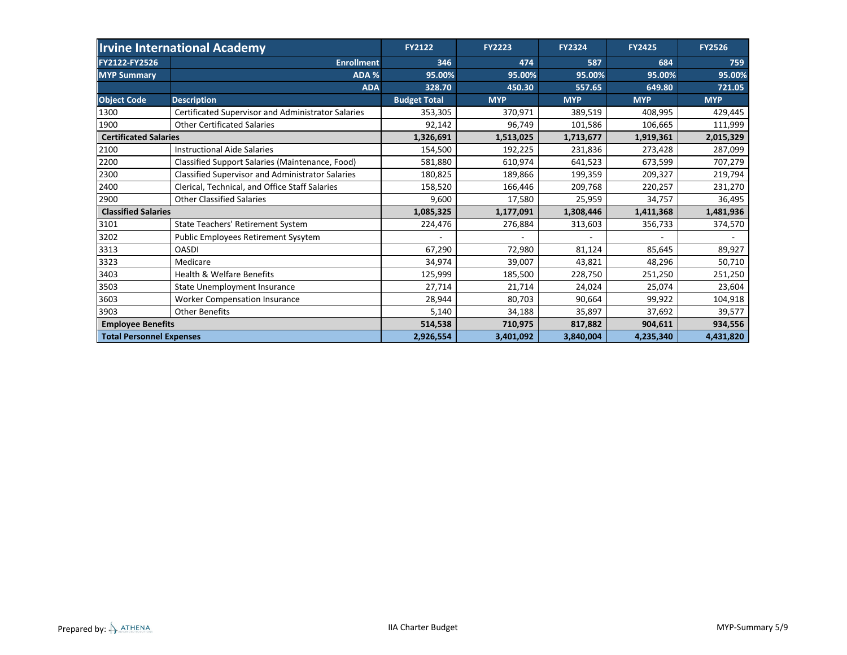|                                 | <b>Irvine International Academy</b>                     | <b>FY2122</b>       | <b>FY2223</b> | <b>FY2324</b> | <b>FY2425</b> | <b>FY2526</b> |
|---------------------------------|---------------------------------------------------------|---------------------|---------------|---------------|---------------|---------------|
| FY2122-FY2526                   | <b>Enrollment</b>                                       | 346                 | 474           | 587           | 684           | 759           |
| <b>MYP Summary</b>              | ADA %                                                   | 95.00%              | 95.00%        | 95.00%        | 95.00%        | 95.00%        |
|                                 | <b>ADA</b>                                              | 328.70              | 450.30        | 557.65        | 649.80        | 721.05        |
| <b>Object Code</b>              | <b>Description</b>                                      | <b>Budget Total</b> | <b>MYP</b>    | <b>MYP</b>    | <b>MYP</b>    | <b>MYP</b>    |
| 1300                            | Certificated Supervisor and Administrator Salaries      | 353,305             | 370,971       | 389,519       | 408,995       | 429,445       |
| 1900                            | <b>Other Certificated Salaries</b>                      | 92,142              | 96,749        | 101,586       | 106,665       | 111,999       |
| <b>Certificated Salaries</b>    |                                                         | 1,326,691           | 1,513,025     | 1,713,677     | 1,919,361     | 2,015,329     |
| 2100                            | <b>Instructional Aide Salaries</b>                      | 154,500             | 192,225       | 231,836       | 273,428       | 287,099       |
| 2200                            | Classified Support Salaries (Maintenance, Food)         | 581,880             | 610,974       | 641,523       | 673,599       | 707,279       |
| 2300                            | <b>Classified Supervisor and Administrator Salaries</b> | 180,825             | 189,866       | 199,359       | 209,327       | 219,794       |
| 2400                            | Clerical, Technical, and Office Staff Salaries          | 158,520             | 166,446       | 209,768       | 220,257       | 231,270       |
| 2900                            | <b>Other Classified Salaries</b>                        | 9,600               | 17,580        | 25,959        | 34,757        | 36,495        |
| <b>Classified Salaries</b>      |                                                         | 1,085,325           | 1,177,091     | 1,308,446     | 1,411,368     | 1,481,936     |
| 3101                            | State Teachers' Retirement System                       | 224,476             | 276,884       | 313,603       | 356,733       | 374,570       |
| 3202                            | Public Employees Retirement Sysytem                     |                     |               |               |               |               |
| 3313                            | <b>OASDI</b>                                            | 67,290              | 72,980        | 81,124        | 85,645        | 89,927        |
| 3323                            | Medicare                                                | 34,974              | 39,007        | 43,821        | 48,296        | 50,710        |
| 3403                            | <b>Health &amp; Welfare Benefits</b>                    | 125,999             | 185,500       | 228,750       | 251,250       | 251,250       |
| 3503                            | <b>State Unemployment Insurance</b>                     | 27,714              | 21,714        | 24,024        | 25,074        | 23,604        |
| 3603                            | <b>Worker Compensation Insurance</b>                    | 28,944              | 80,703        | 90,664        | 99,922        | 104,918       |
| 3903                            | <b>Other Benefits</b>                                   | 5,140               | 34,188        | 35,897        | 37,692        | 39,577        |
| <b>Employee Benefits</b>        |                                                         | 514,538             | 710,975       | 817,882       | 904,611       | 934,556       |
| <b>Total Personnel Expenses</b> |                                                         | 2,926,554           | 3,401,092     | 3,840,004     | 4,235,340     | 4,431,820     |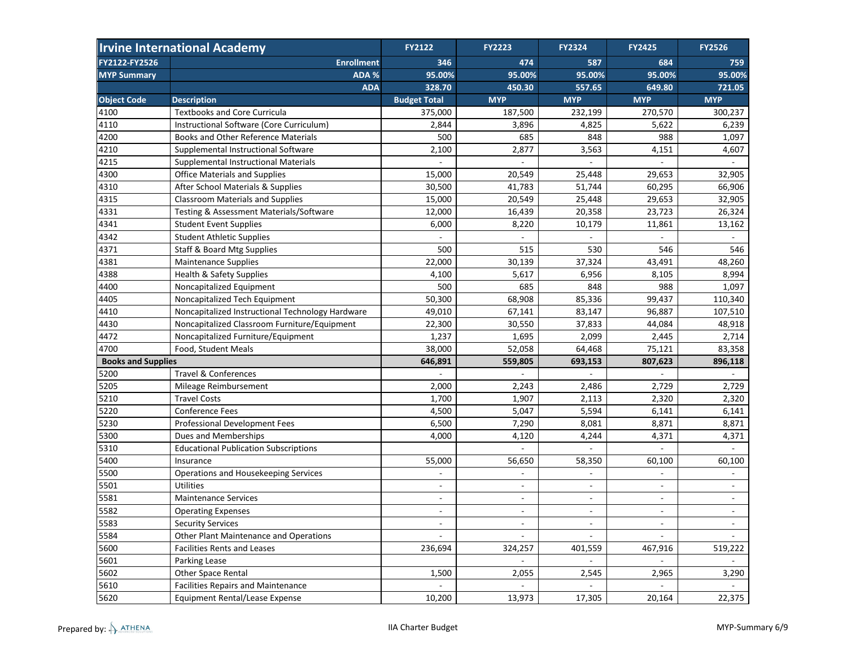|                           | <b>Irvine International Academy</b>              | <b>FY2122</b>            | <b>FY2223</b>            | <b>FY2324</b>            | <b>FY2425</b>            | <b>FY2526</b>            |
|---------------------------|--------------------------------------------------|--------------------------|--------------------------|--------------------------|--------------------------|--------------------------|
| FY2122-FY2526             | <b>Enrollment</b>                                | 346                      | 474                      | 587                      | 684                      | 759                      |
| <b>MYP Summary</b>        | ADA %                                            | 95.00%                   | 95.00%                   | 95.00%                   | 95.00%                   | 95.00%                   |
|                           | <b>ADA</b>                                       | 328.70                   | 450.30                   | 557.65                   | 649.80                   | 721.05                   |
| <b>Object Code</b>        | <b>Description</b>                               | <b>Budget Total</b>      | <b>MYP</b>               | <b>MYP</b>               | <b>MYP</b>               | <b>MYP</b>               |
| 4100                      | <b>Textbooks and Core Curricula</b>              | 375,000                  | 187,500                  | 232,199                  | 270,570                  | 300,237                  |
| 4110                      | Instructional Software (Core Curriculum)         | 2,844                    | 3,896                    | 4,825                    | 5,622                    | 6,239                    |
| 4200                      | Books and Other Reference Materials              | 500                      | 685                      | 848                      | 988                      | 1,097                    |
| 4210                      | Supplemental Instructional Software              | 2,100                    | 2,877                    | 3,563                    | 4,151                    | 4,607                    |
| 4215                      | <b>Supplemental Instructional Materials</b>      |                          |                          |                          |                          |                          |
| 4300                      | <b>Office Materials and Supplies</b>             | 15,000                   | 20,549                   | 25,448                   | 29,653                   | 32,905                   |
| 4310                      | After School Materials & Supplies                | 30,500                   | 41,783                   | 51,744                   | 60,295                   | 66,906                   |
| 4315                      | <b>Classroom Materials and Supplies</b>          | 15,000                   | 20,549                   | 25,448                   | 29,653                   | 32,905                   |
| 4331                      | Testing & Assessment Materials/Software          | 12,000                   | 16,439                   | 20,358                   | 23,723                   | 26,324                   |
| 4341                      | <b>Student Event Supplies</b>                    | 6,000                    | 8,220                    | 10,179                   | 11,861                   | 13,162                   |
| 4342                      | <b>Student Athletic Supplies</b>                 |                          |                          |                          |                          |                          |
| 4371                      | <b>Staff &amp; Board Mtg Supplies</b>            | 500                      | 515                      | 530                      | 546                      | 546                      |
| 4381                      | <b>Maintenance Supplies</b>                      | 22,000                   | 30,139                   | 37,324                   | 43,491                   | 48,260                   |
| 4388                      | <b>Health &amp; Safety Supplies</b>              | 4,100                    | 5,617                    | 6,956                    | 8,105                    | 8,994                    |
| 4400                      | Noncapitalized Equipment                         | 500                      | 685                      | 848                      | 988                      | 1,097                    |
| 4405                      | Noncapitalized Tech Equipment                    | 50,300                   | 68,908                   | 85,336                   | 99,437                   | 110,340                  |
| 4410                      | Noncapitalized Instructional Technology Hardware | 49,010                   | 67,141                   | 83,147                   | 96,887                   | 107,510                  |
| 4430                      | Noncapitalized Classroom Furniture/Equipment     | 22,300                   | 30,550                   | 37,833                   | 44,084                   | 48,918                   |
| 4472                      | Noncapitalized Furniture/Equipment               | 1,237                    | 1,695                    | 2,099                    | 2,445                    | 2,714                    |
| 4700                      | Food, Student Meals                              | 38,000                   | 52,058                   | 64,468                   | 75,121                   | 83,358                   |
| <b>Books and Supplies</b> |                                                  | 646,891                  | 559,805                  | 693,153                  | 807,623                  | 896,118                  |
| 5200                      | <b>Travel &amp; Conferences</b>                  |                          |                          |                          |                          |                          |
| 5205                      | Mileage Reimbursement                            | 2,000                    | 2,243                    | 2,486                    | 2,729                    | 2,729                    |
| 5210                      | <b>Travel Costs</b>                              | 1,700                    | 1,907                    | 2,113                    | 2,320                    | 2,320                    |
| 5220                      | <b>Conference Fees</b>                           | 4,500                    | 5,047                    | 5,594                    | 6,141                    | 6,141                    |
| 5230                      | Professional Development Fees                    | 6,500                    | 7,290                    | 8,081                    | 8,871                    | 8,871                    |
| 5300                      | Dues and Memberships                             | 4,000                    | 4,120                    | 4,244                    | 4,371                    | 4,371                    |
| 5310                      | <b>Educational Publication Subscriptions</b>     |                          |                          |                          |                          |                          |
| 5400                      | Insurance                                        | 55,000                   | 56,650                   | 58,350                   | 60,100                   | 60,100                   |
| 5500                      | Operations and Housekeeping Services             |                          | $\overline{a}$           |                          | ÷,                       | $\blacksquare$           |
| 5501                      | <b>Utilities</b>                                 | $\blacksquare$           | $\blacksquare$           | $\blacksquare$           | $\overline{\phantom{a}}$ | $\overline{\phantom{a}}$ |
| 5581                      | <b>Maintenance Services</b>                      | $\overline{a}$           |                          |                          |                          |                          |
| 5582                      | <b>Operating Expenses</b>                        | $\blacksquare$           | $\overline{\phantom{a}}$ | $\overline{\phantom{a}}$ | $\overline{\phantom{a}}$ | $\overline{\phantom{a}}$ |
| 5583                      | <b>Security Services</b>                         | $\blacksquare$           | $\overline{\phantom{a}}$ | $\blacksquare$           | $\blacksquare$           | $\blacksquare$           |
| 5584                      | Other Plant Maintenance and Operations           | $\overline{\phantom{a}}$ | $\overline{\phantom{a}}$ | $\overline{\phantom{a}}$ | $\blacksquare$           | $\sim$                   |
| 5600                      | <b>Facilities Rents and Leases</b>               | 236,694                  | 324,257                  | 401,559                  | 467,916                  | 519,222                  |
| 5601                      | Parking Lease                                    |                          | $\blacksquare$           | $\overline{\phantom{a}}$ | $\blacksquare$           | $\blacksquare$           |
| 5602                      | Other Space Rental                               | 1,500                    | 2,055                    | 2,545                    | 2,965                    | 3,290                    |
| 5610                      | <b>Facilities Repairs and Maintenance</b>        | $\overline{\phantom{a}}$ | $\overline{\phantom{a}}$ | $\Box$                   | $\blacksquare$           | $\sim$                   |
| 5620                      | <b>Equipment Rental/Lease Expense</b>            | 10,200                   | 13,973                   | 17,305                   | 20,164                   | 22,375                   |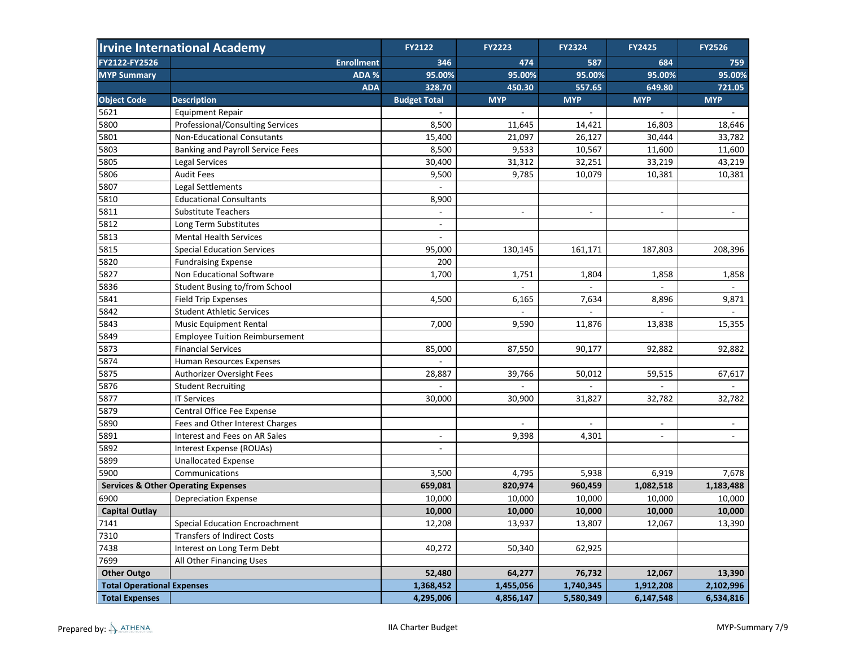|                                   | <b>Irvine International Academy</b>            | <b>FY2122</b>       | <b>FY2223</b> | <b>FY2324</b>            | <b>FY2425</b>            | <b>FY2526</b>               |
|-----------------------------------|------------------------------------------------|---------------------|---------------|--------------------------|--------------------------|-----------------------------|
| FY2122-FY2526                     | <b>Enrollment</b>                              | 346                 | 474           | 587                      | 684                      | 759                         |
| <b>MYP Summary</b>                | ADA %                                          | 95.00%              | 95.00%        | 95.00%                   | 95.00%                   | 95.00%                      |
|                                   | <b>ADA</b>                                     | 328.70              | 450.30        | 557.65                   | 649.80                   | 721.05                      |
| <b>Object Code</b>                | <b>Description</b>                             | <b>Budget Total</b> | <b>MYP</b>    | <b>MYP</b>               | <b>MYP</b>               | <b>MYP</b>                  |
| 5621                              | <b>Equipment Repair</b>                        |                     |               | $\overline{a}$           |                          |                             |
| 5800                              | Professional/Consulting Services               | 8,500               | 11,645        | 14,421                   | 16,803                   | 18,646                      |
| 5801                              | <b>Non-Educational Consutants</b>              | 15,400              | 21,097        | 26,127                   | 30,444                   | 33,782                      |
| 5803                              | <b>Banking and Payroll Service Fees</b>        | 8,500               | 9,533         | 10,567                   | 11,600                   | 11,600                      |
| 5805                              | Legal Services                                 | 30,400              | 31,312        | 32,251                   | 33,219                   | 43,219                      |
| 5806                              | <b>Audit Fees</b>                              | 9,500               | 9,785         | 10,079                   | 10,381                   | 10,381                      |
| 5807                              | Legal Settlements                              |                     |               |                          |                          |                             |
| 5810                              | <b>Educational Consultants</b>                 | 8,900               |               |                          |                          |                             |
| 5811                              | <b>Substitute Teachers</b>                     |                     | ÷,            | $\overline{\phantom{a}}$ | ÷,                       |                             |
| 5812                              | Long Term Substitutes                          |                     |               |                          |                          |                             |
| 5813                              | <b>Mental Health Services</b>                  |                     |               |                          |                          |                             |
| 5815                              | <b>Special Education Services</b>              | 95,000              | 130,145       | 161,171                  | 187,803                  | 208,396                     |
| 5820                              | <b>Fundraising Expense</b>                     | 200                 |               |                          |                          |                             |
| 5827                              | Non Educational Software                       | 1,700               | 1,751         | 1,804                    | 1,858                    | 1,858                       |
| 5836                              | Student Busing to/from School                  |                     |               |                          |                          |                             |
| 5841                              | <b>Field Trip Expenses</b>                     | 4,500               | 6,165         | 7,634                    | 8,896                    | 9,871                       |
| 5842                              | <b>Student Athletic Services</b>               |                     |               |                          |                          |                             |
| 5843                              | <b>Music Equipment Rental</b>                  | 7,000               | 9,590         | 11,876                   | 13,838                   | 15,355                      |
| 5849                              | <b>Employee Tuition Reimbursement</b>          |                     |               |                          |                          |                             |
| 5873                              | <b>Financial Services</b>                      | 85,000              | 87,550        | 90,177                   | 92,882                   | 92,882                      |
| 5874                              | Human Resources Expenses                       |                     |               |                          |                          |                             |
| 5875                              | Authorizer Oversight Fees                      | 28,887              | 39,766        | 50,012                   | 59,515                   | 67,617                      |
| 5876                              | <b>Student Recruiting</b>                      |                     |               |                          |                          | $\mathcal{L}_{\mathcal{A}}$ |
| 5877                              | <b>IT Services</b>                             | 30,000              | 30,900        | 31,827                   | 32,782                   | 32,782                      |
| 5879                              | Central Office Fee Expense                     |                     |               |                          |                          |                             |
| 5890                              | Fees and Other Interest Charges                |                     |               |                          | $\overline{\phantom{a}}$ |                             |
| 5891                              | Interest and Fees on AR Sales                  | $\sim$              | 9,398         | 4,301                    | $\blacksquare$           | $\blacksquare$              |
| 5892                              | Interest Expense (ROUAs)                       |                     |               |                          |                          |                             |
| 5899                              | <b>Unallocated Expense</b>                     |                     |               |                          |                          |                             |
| 5900                              | Communications                                 | 3,500               | 4,795         | 5,938                    | 6,919                    | 7,678                       |
|                                   | <b>Services &amp; Other Operating Expenses</b> | 659,081             | 820,974       | 960,459                  | 1,082,518                | 1,183,488                   |
| 6900                              | <b>Depreciation Expense</b>                    | 10,000              | 10,000        | 10,000                   | 10,000                   | 10,000                      |
| <b>Capital Outlay</b>             |                                                | 10,000              | 10,000        | 10,000                   | 10,000                   | 10,000                      |
| 7141                              | <b>Special Education Encroachment</b>          | 12,208              | 13,937        | 13,807                   | 12,067                   | 13,390                      |
| 7310                              | <b>Transfers of Indirect Costs</b>             |                     |               |                          |                          |                             |
| 7438                              | Interest on Long Term Debt                     | 40,272              | 50,340        | 62,925                   |                          |                             |
| 7699                              | All Other Financing Uses                       |                     |               |                          |                          |                             |
| <b>Other Outgo</b>                |                                                | 52,480              | 64,277        | 76,732                   | 12,067                   | 13,390                      |
| <b>Total Operational Expenses</b> |                                                | 1,368,452           | 1,455,056     | 1,740,345                | 1,912,208                | 2,102,996                   |
| <b>Total Expenses</b>             |                                                | 4,295,006           | 4,856,147     | 5,580,349                | 6,147,548                | 6,534,816                   |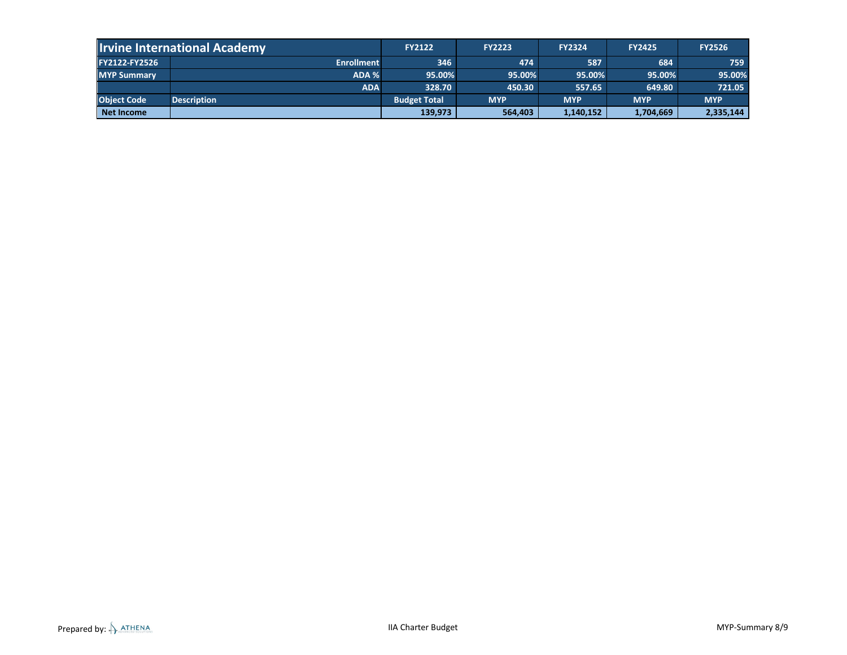|                    | <b>Irvine International Academy</b> | <b>FY2122</b>       | <b>FY2223</b> | <b>FY2324</b> | <b>FY2425</b> | <b>FY2526</b> |
|--------------------|-------------------------------------|---------------------|---------------|---------------|---------------|---------------|
| FY2122-FY2526      | <b>Enrollment</b>                   | 346                 | 474           | 587           | 684           | 759           |
| <b>MYP Summary</b> | ADA %                               | 95.00%              | 95.00%        | 95.00%        | 95.00%        | 95.00%        |
|                    | <b>ADA</b>                          | 328.70              | 450.30        | 557.65        | 649.80        | 721.05        |
| <b>Object Code</b> | <b>Description</b>                  | <b>Budget Total</b> | <b>MYP</b>    | <b>MYP</b>    | <b>MYP</b>    | <b>MYP</b>    |
| Net Income         |                                     | 139,973             | 564,403       | 1,140,152     | 1,704,669     | 2,335,144     |